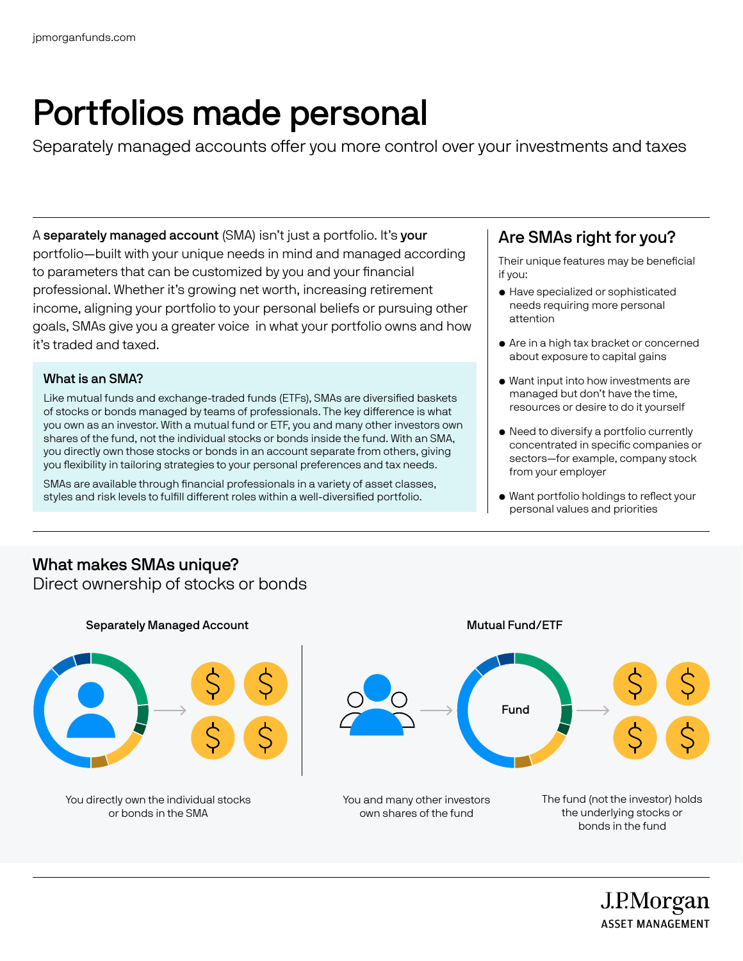## Portfolios made personal

Separately managed accounts offer you more control over your investments and taxes

A separately managed account (SMA) isn't just a portfolio. It's your portfolio—built with your unique needs in mind and managed according to parameters that can be customized by you and your financial professional. Whether it's growing net worth, increasing retirement income, aligning your portfolio to your personal beliefs or pursuing other goals, SMAs give you a greater voice in what your portfolio owns and how it's traded and taxed.

#### What is an SMA?

Like mutual funds and exchange-traded funds (ETFs), SMAs are diversified baskets of stocks or bonds managed by teams of professionals. The key difference is what you own as an investor. With a mutual fund or ETF, you and many other investors own shares of the fund, not the individual stocks or bonds inside the fund. With an SMA, you directly own those stocks or bonds in an account separate from others, giving you flexibility in tailoring strategies to your personal preferences and tax needs.

SMAs are available through financial professionals in a variety of asset classes, styles and risk levels to fulfill different roles within a well-diversified portfolio.

## Are SMAs right for you?

Their unique features may be beneficial if you:

- Have specialized or sophisticated needs requiring more personal attention
- Are in a high tax bracket or concerned about exposure to capital gains
- Want input into how investments are managed but don't have the time, resources or desire to do it yourself
- Need to diversify a portfolio currently concentrated in specific companies or sectors—for example, company stock from your employer
- Want portfolio holdings to reflect your personal values and priorities

#### What makes SMAs unique? Direct ownership of stocks or bonds



J.P.Morgan **ASSET MANAGEMENT**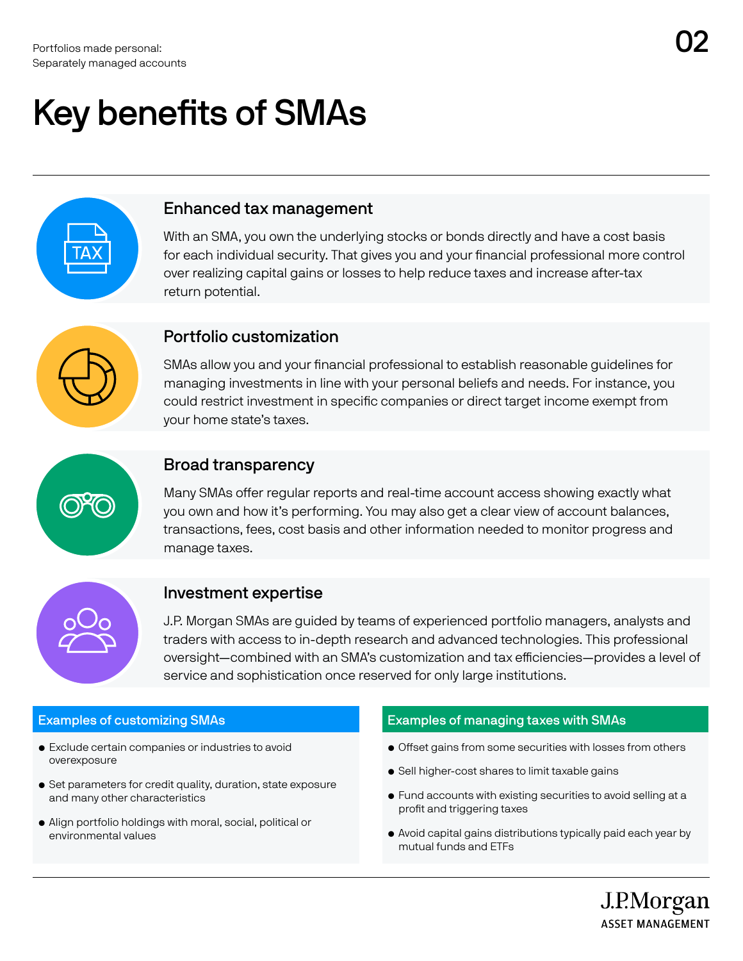# Key benefits of SMAs



#### Enhanced tax management

With an SMA, you own the underlying stocks or bonds directly and have a cost basis for each individual security. That gives you and your financial professional more control over realizing capital gains or losses to help reduce taxes and increase after-tax return potential.



### Portfolio customization

SMAs allow you and your financial professional to establish reasonable guidelines for managing investments in line with your personal beliefs and needs. For instance, you could restrict investment in specific companies or direct target income exempt from your home state's taxes.



### Broad transparency

Many SMAs offer regular reports and real-time account access showing exactly what you own and how it's performing. You may also get a clear view of account balances, transactions, fees, cost basis and other information needed to monitor progress and manage taxes.



### Investment expertise

J.P. Morgan SMAs are guided by teams of experienced portfolio managers, analysts and traders with access to in-depth research and advanced technologies. This professional oversight—combined with an SMA's customization and tax efficiencies—provides a level of service and sophistication once reserved for only large institutions.

#### Examples of customizing SMAs

- Exclude certain companies or industries to avoid overexposure
- Set parameters for credit quality, duration, state exposure and many other characteristics
- Align portfolio holdings with moral, social, political or environmental values

#### Examples of managing taxes with SMAs

- Offset gains from some securities with losses from others
- Sell higher-cost shares to limit taxable gains
- Fund accounts with existing securities to avoid selling at a profit and triggering taxes
- Avoid capital gains distributions typically paid each year by mutual funds and ETFs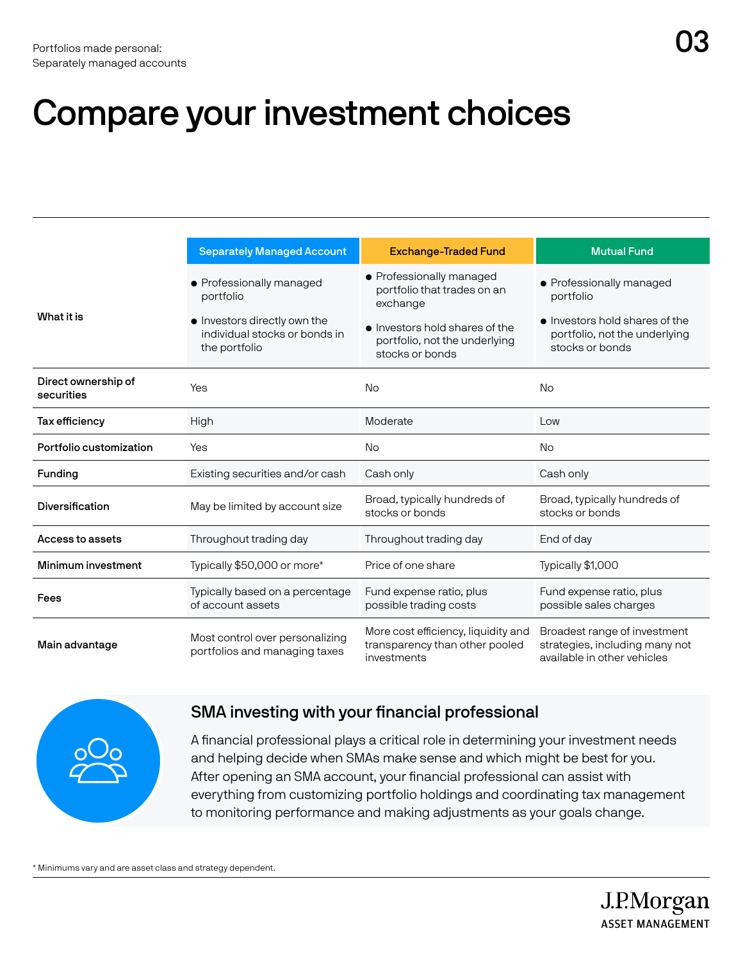|                                   | <b>Separately Managed Account</b>                                                                                       | <b>Exchange-Traded Fund</b>                                                                                                                               | <b>Mutual Fund</b>                                                                                                          |
|-----------------------------------|-------------------------------------------------------------------------------------------------------------------------|-----------------------------------------------------------------------------------------------------------------------------------------------------------|-----------------------------------------------------------------------------------------------------------------------------|
| What it is                        | • Professionally managed<br>portfolio<br>• Investors directly own the<br>individual stocks or bonds in<br>the portfolio | • Professionally managed<br>portfolio that trades on an<br>exchange<br>• Investors hold shares of the<br>portfolio, not the underlying<br>stocks or bonds | • Professionally managed<br>portfolio<br>• Investors hold shares of the<br>portfolio, not the underlying<br>stocks or bonds |
| Direct ownership of<br>securities | Yes                                                                                                                     | <b>No</b>                                                                                                                                                 | <b>No</b>                                                                                                                   |
| Tax efficiency                    | High                                                                                                                    | Moderate                                                                                                                                                  | Low                                                                                                                         |
| Portfolio customization           | Yes                                                                                                                     | No.                                                                                                                                                       | <b>No</b>                                                                                                                   |
| Funding                           | Existing securities and/or cash                                                                                         | Cash only                                                                                                                                                 | Cash only                                                                                                                   |
| Diversification                   | May be limited by account size                                                                                          | Broad, typically hundreds of<br>stocks or bonds                                                                                                           | Broad, typically hundreds of<br>stocks or bonds                                                                             |
| Access to assets                  | Throughout trading day                                                                                                  | Throughout trading day                                                                                                                                    | End of day                                                                                                                  |
| Minimum investment                | Typically \$50,000 or more*                                                                                             | Price of one share                                                                                                                                        | Typically \$1,000                                                                                                           |
| Fees                              | Typically based on a percentage<br>of account assets                                                                    | Fund expense ratio, plus<br>possible trading costs                                                                                                        | Fund expense ratio, plus<br>possible sales charges                                                                          |
| Main advantage                    | Most control over personalizing<br>portfolios and managing taxes                                                        | More cost efficiency, liquidity and<br>transparency than other pooled<br>investments                                                                      | Broadest range of investment<br>strategies, including many not<br>available in other vehicles                               |



## SMA investing with your financial professional

A financial professional plays a critical role in determining your investment needs and helping decide when SMAs make sense and which might be best for you. After opening an SMA account, your financial professional can assist with everything from customizing portfolio holdings and coordinating tax management to monitoring performance and making adjustments as your goals change.

\* Minimums vary and are asset class and strategy dependent.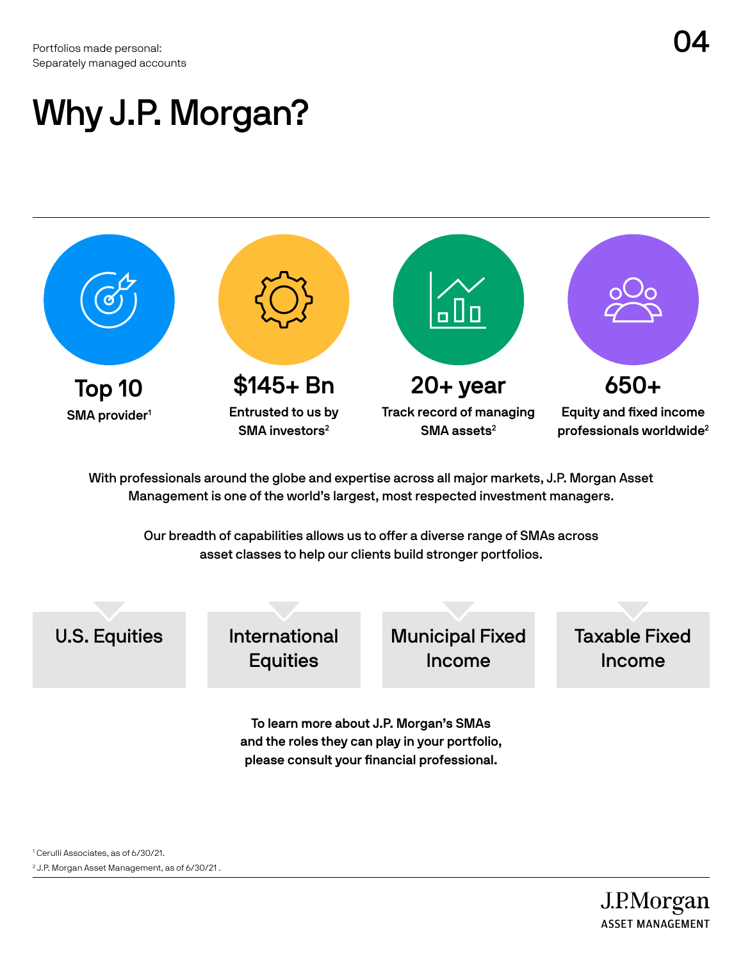Portfolios made personal:  $\mathsf{O4}$ Separately managed accounts

## Why J.P. Morgan?

Top 10 SMA provider<sup>1</sup> \$145+ Bn Entrusted to us by SMA investors<sup>2</sup> 20+ year Track record of managing SMA assets<sup>2</sup> 650+ Equity and fixed income professionals worldwide2

With professionals around the globe and expertise across all major markets, J.P. Morgan Asset Management is one of the world's largest, most respected investment managers.

> Our breadth of capabilities allows us to offer a diverse range of SMAs across asset classes to help our clients build stronger portfolios.

To learn more about J.P. Morgan's SMAs U.S. Equities International **Equities** Municipal Fixed Income Taxable Fixed Income

and the roles they can play in your portfolio, please consult your financial professional.

1 Cerulli Associates, as of 6/30/21. 2 J.P. Morgan Asset Management, as of 6/30/21 .